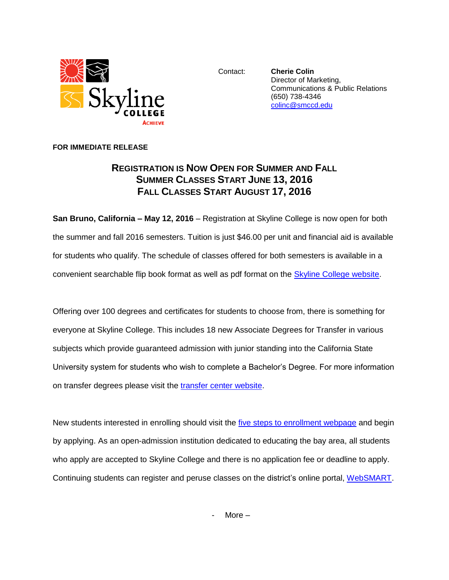

Contact: **Cherie Colin** Director of Marketing, Communications & Public Relations (650) 738-4346 [colinc@smccd.edu](mailto:colinc@smccd.edu)

## **FOR IMMEDIATE RELEASE**

## **REGISTRATION IS NOW OPEN FOR SUMMER AND FALL SUMMER CLASSES START JUNE 13, 2016 FALL CLASSES START AUGUST 17, 2016**

**San Bruno, California – May 12, 2016** – Registration at Skyline College is now open for both the summer and fall 2016 semesters. Tuition is just \$46.00 per unit and financial aid is available for students who qualify. The schedule of classes offered for both semesters is available in a convenient searchable flip book format as well as pdf format on the [Skyline College website.](http://www.skylinecollege.edu/catalogschedule/)

Offering over 100 degrees and certificates for students to choose from, there is something for everyone at Skyline College. This includes 18 new Associate Degrees for Transfer in various subjects which provide guaranteed admission with junior standing into the California State University system for students who wish to complete a Bachelor's Degree. For more information on transfer degrees please visit the [transfer center website.](http://www.skylinecollege.edu/transfercenter/transferdegrees.php)

New students interested in enrolling should visit the [five steps to enrollment webpage](http://skylinecollege.edu/admissions/apply.php) and begin by applying. As an open-admission institution dedicated to educating the bay area, all students who apply are accepted to Skyline College and there is no application fee or deadline to apply. Continuing students can register and peruse classes on the district's online portal, [WebSMART.](https://websmart.smccd.edu/)

More  $-$